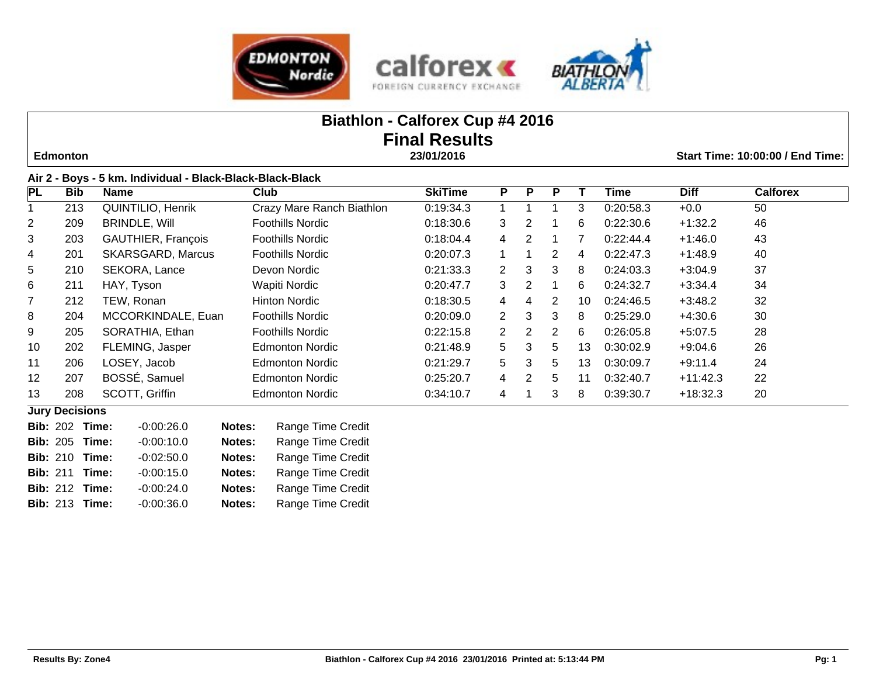





# **Biathlon - Calforex Cup #4 2016 Final Results Edmonton 23/01/2016 Start Time: 10:00:00 / End Time:**

| <b>PL</b>      | <b>Bib</b> | <b>Name</b>               | Club                      | <b>SkiTime</b> | P                    | P | P  |    | Time      | <b>Diff</b> | <b>Calforex</b> |
|----------------|------------|---------------------------|---------------------------|----------------|----------------------|---|----|----|-----------|-------------|-----------------|
|                | 213        | <b>QUINTILIO, Henrik</b>  | Crazy Mare Ranch Biathlon | 0:19:34.3      |                      |   |    | 3  | 0:20:58.3 | $+0.0$      | 50              |
| $\overline{2}$ | 209        | <b>BRINDLE, Will</b>      | Foothills Nordic          | 0:18:30.6      | 3                    | 2 |    | 6  | 0:22:30.6 | $+1:32.2$   | 46              |
| 3              | 203        | <b>GAUTHIER, François</b> | Foothills Nordic          | 0:18:04.4      | 4                    | 2 |    |    | 0:22:44.4 | $+1:46.0$   | 43              |
| 4              | 201        | <b>SKARSGARD, Marcus</b>  | <b>Foothills Nordic</b>   | 0.20:07.3      |                      |   | 2  | 4  | 0:22:47.3 | $+1:48.9$   | 40              |
| 5              | 210        | SEKORA, Lance             | Devon Nordic              | 0:21:33.3      | 2                    | 3 | 3  | 8  | 0:24:03.3 | $+3:04.9$   | 37              |
| 6              | 211        | HAY, Tyson                | Wapiti Nordic             | 0:20:47.7      | 3                    | 2 |    | 6  | 0:24:32.7 | $+3:34.4$   | 34              |
| 7              | 212        | TEW, Ronan                | <b>Hinton Nordic</b>      | 0.18.30.5      | 4                    | 4 | 2  | 10 | 0:24:46.5 | $+3:48.2$   | 32              |
| 8              | 204        | MCCORKINDALE, Euan        | <b>Foothills Nordic</b>   | 0:20:09.0      | $\mathbf{2}^{\circ}$ | 3 | 3  | 8  | 0:25:29.0 | $+4:30.6$   | 30              |
| 9              | 205        | SORATHIA, Ethan           | <b>Foothills Nordic</b>   | 0:22:15.8      | 2                    | 2 | 2  | 6  | 0:26:05.8 | $+5:07.5$   | 28              |
| 10             | 202        | FLEMING, Jasper           | Edmonton Nordic           | 0.21.48.9      | 5.                   | 3 | 5. | 13 | 0:30:02.9 | $+9:04.6$   | 26              |
| 11             | 206        | LOSEY, Jacob              | <b>Edmonton Nordic</b>    | 0.21:29.7      | 5                    | 3 | 5  | 13 | 0:30:09.7 | $+9:11.4$   | 24              |
| 12             | 207        | BOSSÉ, Samuel             | <b>Edmonton Nordic</b>    | 0:25:20.7      | 4                    | 2 | 5  | 11 | 0:32:40.7 | $+11:42.3$  | 22              |
| 13             | 208        | SCOTT, Griffin            | <b>Edmonton Nordic</b>    | 0:34:10.7      | 4                    |   | 3  | 8  | 0:39:30.7 | $+18:32.3$  | 20              |

|  | <b>Bib: 202 Time:</b> | $-0:00:26.0$ | Notes: | <b>Range Time Credit</b> |
|--|-----------------------|--------------|--------|--------------------------|
|  | <b>Bib: 205 Time:</b> | $-0:00:10.0$ | Notes: | Range Time Credit        |
|  | <b>Bib: 210 Time:</b> | $-0:02:50.0$ | Notes: | Range Time Credit        |
|  | <b>Bib: 211 Time:</b> | $-0:00:15.0$ | Notes: | Range Time Credit        |
|  | <b>Bib: 212 Time:</b> | $-0:00:24.0$ | Notes: | Range Time Credit        |
|  | <b>Bib: 213 Time:</b> | $-0:00:36.0$ | Notes: | Range Time Credit        |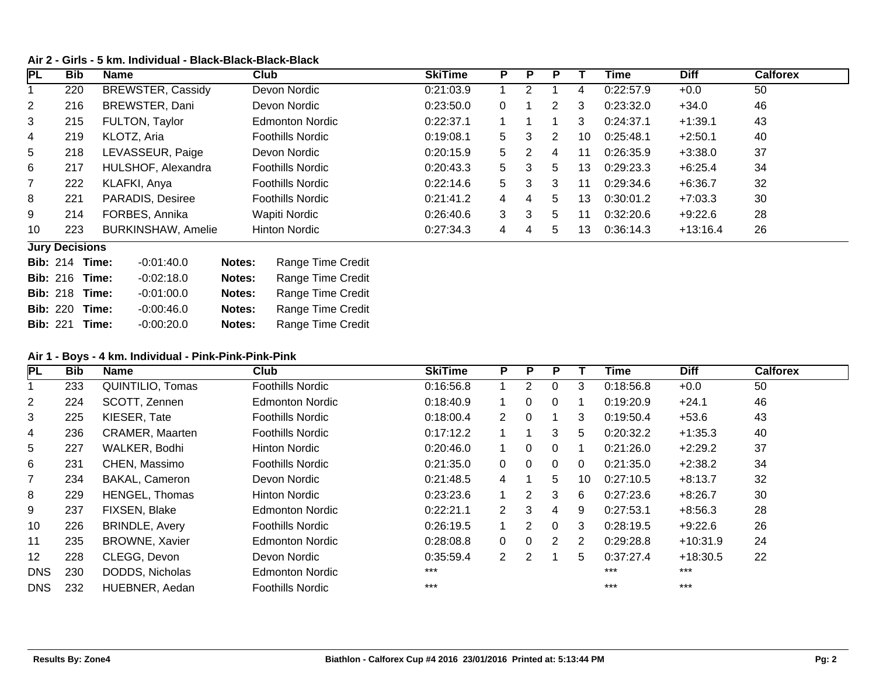## **Air 2 - Girls - 5 km. Individual - Black-Black-Black-Black**

| <b>PL</b>       | <b>Bib</b>                    | <b>Name</b>               | Club                        | <b>SkiTime</b> | P        | P             |                |    | Time      | <b>Diff</b> | <b>Calforex</b> |
|-----------------|-------------------------------|---------------------------|-----------------------------|----------------|----------|---------------|----------------|----|-----------|-------------|-----------------|
|                 | 220                           | <b>BREWSTER, Cassidy</b>  | Devon Nordic                | 0:21:03.9      |          | $\mathcal{P}$ |                | 4  | 0:22:57.9 | $+0.0$      | 50              |
| $\overline{2}$  | 216                           | BREWSTER, Dani            | Devon Nordic                | 0:23:50.0      | $\Omega$ |               | 2              | 3  | 0:23:32.0 | $+34.0$     | 46              |
| 3               | 215                           | FULTON, Taylor            | <b>Edmonton Nordic</b>      | 0:22:37.1      |          |               |                | 3  | 0:24:37.1 | $+1:39.1$   | 43              |
| 4               | 219                           | KLOTZ, Aria               | <b>Foothills Nordic</b>     | 0:19:08.1      | 5.       | 3             | $\overline{2}$ | 10 | 0:25:48.1 | $+2:50.1$   | 40              |
| 5               | 218                           | LEVASSEUR, Paige          | Devon Nordic                | 0:20:15.9      | 5        | 2             | 4              | 11 | 0:26:35.9 | $+3:38.0$   | 37              |
| 6               | 217                           | HULSHOF, Alexandra        | <b>Foothills Nordic</b>     | 0.20.43.3      | 5        | 3             | 5              | 13 | 0:29:23.3 | $+6:25.4$   | 34              |
| $\overline{7}$  | 222                           | KLAFKI, Anya              | <b>Foothills Nordic</b>     | 0:22:14.6      | 5        | 3             | 3              | 11 | 0:29:34.6 | $+6:36.7$   | 32              |
| 8               | 221                           | <b>PARADIS, Desiree</b>   | <b>Foothills Nordic</b>     | 0:21:41.2      | 4        | 4             | 5              | 13 | 0:30:01.2 | $+7:03.3$   | 30              |
| 9               | 214                           | FORBES, Annika            | Wapiti Nordic               | 0.26:40.6      | 3        | 3             | 5              | 11 | 0:32:20.6 | $+9:22.6$   | 28              |
| 10              | 223                           | <b>BURKINSHAW, Amelie</b> | <b>Hinton Nordic</b>        | 0:27:34.3      | 4        | 4             | 5              | 13 | 0:36:14.3 | $+13:16.4$  | 26              |
|                 | <b>Jury Decisions</b>         |                           |                             |                |          |               |                |    |           |             |                 |
| <b>Bib: 214</b> |                               | $-0.01:40.0$<br>Time:     | Range Time Credit<br>Notes: |                |          |               |                |    |           |             |                 |
|                 | $D_{\text{th}}$ , $040$ Time, | 0.00.400                  | Natas:<br>Donas Timo Crodit |                |          |               |                |    |           |             |                 |

| <b>Bib: 216 Time:</b> | $-0.02:18.0$ | Notes: | <b>Range Time Credit</b> |
|-----------------------|--------------|--------|--------------------------|
| <b>Bib: 218 Time:</b> | $-0.01:00.0$ | Notes: | Range Time Credit        |
| <b>Bib: 220 Time:</b> | $-0.00:46.0$ | Notes: | Range Time Credit        |
| <b>Bib: 221 Time:</b> | $-0.00:20.0$ | Notes: | <b>Range Time Credit</b> |

### **Air 1 - Boys - 4 km. Individual - Pink-Pink-Pink-Pink**

| <b>PL</b>      | <b>Bib</b> | <b>Name</b>            | Club                    | <b>SkiTime</b> | P                    | P              | P        |    | Time      | <b>Diff</b> | <b>Calforex</b> |
|----------------|------------|------------------------|-------------------------|----------------|----------------------|----------------|----------|----|-----------|-------------|-----------------|
|                | 233        | QUINTILIO, Tomas       | <b>Foothills Nordic</b> | 0:16:56.8      |                      | 2              | 0        | 3  | 0:18:56.8 | $+0.0$      | 50              |
| $\overline{2}$ | 224        | SCOTT, Zennen          | <b>Edmonton Nordic</b>  | 0:18:40.9      |                      | $\Omega$       | $\Omega$ |    | 0:19:20.9 | $+24.1$     | 46              |
| 3              | 225        | KIESER, Tate           | <b>Foothills Nordic</b> | 0:18:00.4      | $\mathbf{2}^{\circ}$ | $\overline{0}$ |          | 3  | 0:19:50.4 | $+53.6$     | 43              |
| 4              | 236        | <b>CRAMER, Maarten</b> | <b>Foothills Nordic</b> | 0:17:12.2      |                      |                | 3        | 5  | 0:20:32.2 | $+1:35.3$   | 40              |
| 5              | 227        | WALKER, Bodhi          | Hinton Nordic           | 0.20:46.0      |                      | 0              | $\Omega$ |    | 0:21:26.0 | $+2:29.2$   | 37              |
| 6              | 231        | CHEN, Massimo          | <b>Foothills Nordic</b> | 0:21:35.0      | $\Omega$             | $\Omega$       | $\Omega$ | 0  | 0:21:35.0 | $+2:38.2$   | 34              |
| 7              | 234        | <b>BAKAL, Cameron</b>  | Devon Nordic            | 0.21.48.5      | 4                    |                | 5.       | 10 | 0:27:10.5 | $+8:13.7$   | 32              |
| 8              | 229        | <b>HENGEL, Thomas</b>  | <b>Hinton Nordic</b>    | 0:23:23.6      |                      | 2              | 3        | 6  | 0:27:23.6 | $+8:26.7$   | 30              |
| 9              | 237        | FIXSEN, Blake          | <b>Edmonton Nordic</b>  | 0:22:21.1      | 2                    | 3              | 4        | 9  | 0:27:53.1 | $+8:56.3$   | 28              |
| 10             | 226        | <b>BRINDLE, Avery</b>  | <b>Foothills Nordic</b> | 0:26:19.5      |                      | 2              | $\Omega$ | 3  | 0:28:19.5 | $+9:22.6$   | 26              |
| 11             | 235        | <b>BROWNE, Xavier</b>  | <b>Edmonton Nordic</b>  | 0:28:08.8      | $\Omega$             | $\overline{0}$ | 2        | 2  | 0:29:28.8 | $+10:31.9$  | 24              |
| 12             | 228        | CLEGG, Devon           | Devon Nordic            | 0:35:59.4      | 2                    | 2              |          | 5  | 0:37:27.4 | $+18:30.5$  | 22              |
| <b>DNS</b>     | 230        | DODDS, Nicholas        | <b>Edmonton Nordic</b>  | $***$          |                      |                |          |    | $***$     | $***$       |                 |
| <b>DNS</b>     | 232        | HUEBNER, Aedan         | <b>Foothills Nordic</b> | $***$          |                      |                |          |    | $***$     | $***$       |                 |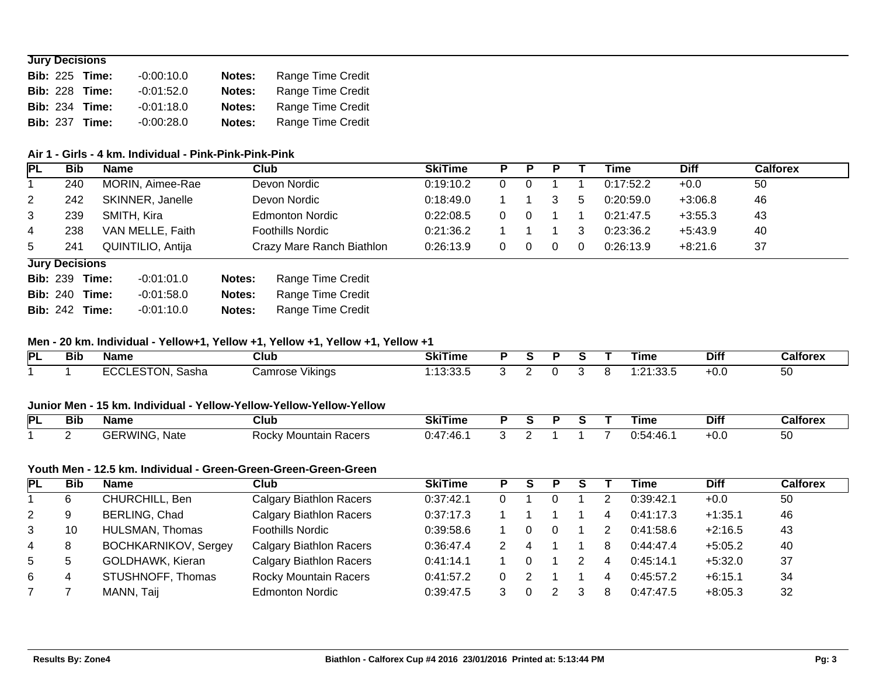### **Jury Decisions**

|  | <b>Bib: 225 Time:</b> | $-0.00:10.0$ | Notes: | <b>Range Time Credit</b> |
|--|-----------------------|--------------|--------|--------------------------|
|  | <b>Bib: 228 Time:</b> | $-0.01:52.0$ | Notes: | <b>Range Time Credit</b> |
|  | <b>Bib: 234 Time:</b> | $-0.01:18.0$ | Notes: | <b>Range Time Credit</b> |
|  | <b>Bib: 237 Time:</b> | $-0.00:28.0$ | Notes: | Range Time Credit        |

### **Air 1 - Girls - 4 km. Individual - Pink-Pink-Pink-Pink**

| <b>PL</b>    | <b>Bib</b>            | <b>Name</b> |                   |        | Club                      | <b>SkiTime</b> | P | P | D |   | Time      | <b>Diff</b> | <b>Calforex</b> |  |
|--------------|-----------------------|-------------|-------------------|--------|---------------------------|----------------|---|---|---|---|-----------|-------------|-----------------|--|
|              | 240                   |             | MORIN, Aimee-Rae  |        | Devon Nordic              | 0:19:10.2      |   |   |   |   | 0:17:52.2 | $+0.0$      | 50              |  |
| $\mathbf{2}$ | 242                   |             | SKINNER, Janelle  |        | Devon Nordic              | 0.18:49.0      |   |   |   | 5 | 0:20:59.0 | $+3:06.8$   | 46              |  |
| 3            | 239                   |             | SMITH, Kira       |        | <b>Edmonton Nordic</b>    | 0:22:08.5      | 0 | 0 |   |   | 0:21:47.5 | $+3:55.3$   | 43              |  |
| 4            | 238                   |             | VAN MELLE, Faith  |        | Foothills Nordic          | 0:21:36.2      |   |   |   | 3 | 0:23:36.2 | $+5:43.9$   | 40              |  |
| 5            | 241                   |             | QUINTILIO, Antija |        | Crazy Mare Ranch Biathlon | 0:26:13.9      | 0 | 0 | 0 | 0 | 0:26:13.9 | $+8:21.6$   | 37              |  |
|              | <b>Jury Decisions</b> |             |                   |        |                           |                |   |   |   |   |           |             |                 |  |
|              | <b>Bib: 239 Time:</b> |             | $-0.01:01.0$      | Notes: | Range Time Credit         |                |   |   |   |   |           |             |                 |  |
|              | <b>Bib: 240 Time:</b> |             | $-0.01:58.0$      | Notes: | Range Time Credit         |                |   |   |   |   |           |             |                 |  |
|              | <b>Bib: 242</b>       | Time:       | $-0.01:10.0$      | Notes: | Range Time Credit         |                |   |   |   |   |           |             |                 |  |

### **Men - 20 km. Individual - Yellow+1, Yellow +1, Yellow +1, Yellow +1, Yellow +1**

| PL | --<br>Bib | Name  | <b>Club</b>        | つしけい<br>Ski i ime  |  |  | ⊺ime          | <b>Difi</b> | Calforex |
|----|-----------|-------|--------------------|--------------------|--|--|---------------|-------------|----------|
|    |           | Sasha | Vikings<br>∶amrose | $\sim$<br>. J.JJ.J |  |  | $\Omega$<br>. | +0.ບ        | 50       |

### **Junior Men - 15 km. Individual - Yellow-Yellow-Yellow-Yellow-Yellow**

| IРI | --<br>Bit | <b>Name</b>                          | Club                                                   | <b>SkiTime</b> |  |  | Гіmе                                 | <b>Diff</b> | Calforex |
|-----|-----------|--------------------------------------|--------------------------------------------------------|----------------|--|--|--------------------------------------|-------------|----------|
|     |           | <b>Nate</b><br>,,,<br>ג <b>vv</b> אי | <b>Doolar</b><br>Poorc<br>⊺Mountain<br>יאטטר<br>nautis | 7.AR<br>TV.    |  |  | <b>A</b> .<br>$\sim$<br>TV.<br>, , , | -v.u        | 50       |

### **Youth Men - 12.5 km. Individual - Green-Green-Green-Green-Green**

| <b>PL</b>      | Bib         | <b>Name</b>                 | Club                           | <b>SkiTime</b> | s | P |   | Time      | <b>Diff</b> | <b>Calforex</b> |
|----------------|-------------|-----------------------------|--------------------------------|----------------|---|---|---|-----------|-------------|-----------------|
|                | 6           | CHURCHILL, Ben              | <b>Calgary Biathlon Racers</b> | 0:37:42.1      |   |   |   | 0:39:42.1 | $+0.0$      | 50              |
| $\overline{2}$ | 9           | BERLING, Chad               | <b>Calgary Biathlon Racers</b> | 0:37:17.3      |   |   | 4 | 0:41:17.3 | $+1:35.1$   | 46              |
| 3              | 10          | HULSMAN, Thomas             | <b>Foothills Nordic</b>        | 0:39:58.6      |   |   |   | 0:41:58.6 | $+2:16.5$   | 43              |
| 4              | 8           | <b>BOCHKARNIKOV, Sergey</b> | <b>Calgary Biathlon Racers</b> | 0:36:47.4      |   |   | 8 | 0:44:47.4 | $+5:05.2$   | 40              |
| 5              | $\mathbf b$ | GOLDHAWK, Kieran            | <b>Calgary Biathlon Racers</b> | 0:41:14.1      |   |   | 4 | 0:45:14.1 | $+5:32.0$   | 37              |
| 6              | 4           | STUSHNOFF, Thomas           | <b>Rocky Mountain Racers</b>   | 0:41:57.2      |   |   | 4 | 0:45:57.2 | $+6:15.1$   | 34              |
|                |             | MANN, Taij                  | <b>Edmonton Nordic</b>         | 0:39:47.5      |   |   | 8 | 0:47:47.5 | $+8:05.3$   | 32              |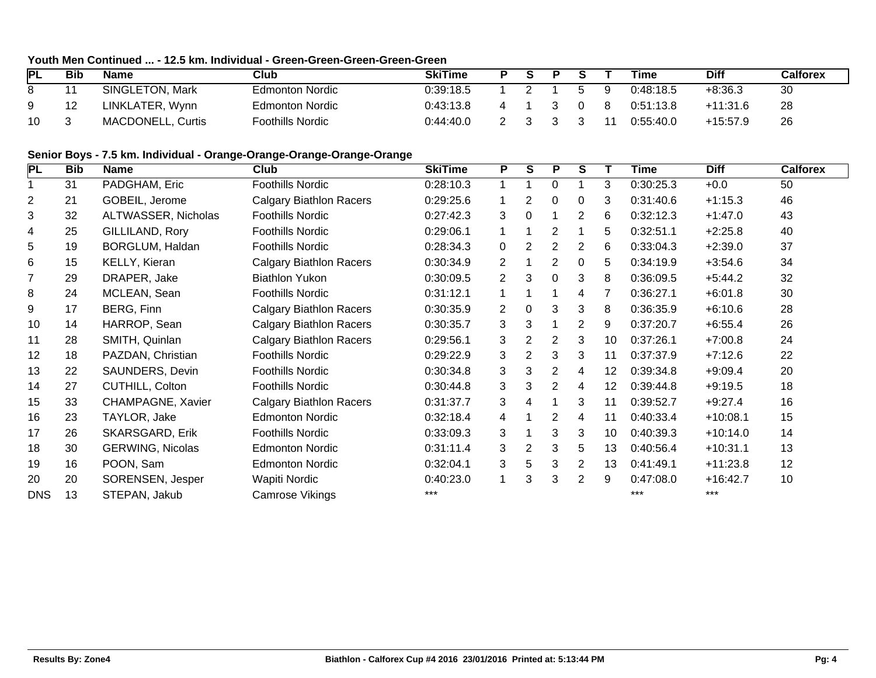# **Youth Men Continued ... - 12.5 km. Individual - Green-Green-Green-Green-Green**

| PL | Bib | <b>Name</b>              | Club             | SkiTime   | S. |  |   | Time      | Diff       | Calforex |
|----|-----|--------------------------|------------------|-----------|----|--|---|-----------|------------|----------|
| 8  |     | SINGLETON, Mark          | Edmonton Nordic  | 0:39:18.5 |    |  | Ч | 0:48:18.5 | +8:36.3    | 30       |
| 9  | 12  | LINKLATER, Wynn          | Edmonton Nordic  | 0:43:13.8 |    |  |   | 0:51:13.8 | $+11:31.6$ | 28       |
| 10 |     | <b>MACDONELL, Curtis</b> | Foothills Nordic | 0.44:40.0 |    |  |   | 0:55:40.0 | $+15:57.9$ | 26       |

### **Senior Boys - 7.5 km. Individual - Orange-Orange-Orange-Orange-Orange**

| PL             | <b>Bib</b> | <b>Name</b>             | Club                           | <b>SkiTime</b> | P              | S              | P              | S |    | <b>Time</b> | <b>Diff</b> | <b>Calforex</b> |
|----------------|------------|-------------------------|--------------------------------|----------------|----------------|----------------|----------------|---|----|-------------|-------------|-----------------|
|                | 31         | PADGHAM, Eric           | <b>Foothills Nordic</b>        | 0:28:10.3      | 1              |                | 0              |   | 3  | 0:30:25.3   | $+0.0$      | 50              |
| $\overline{c}$ | 21         | GOBEIL, Jerome          | <b>Calgary Biathlon Racers</b> | 0:29:25.6      |                | 2              | 0              | 0 | 3  | 0:31:40.6   | $+1:15.3$   | 46              |
| 3              | 32         | ALTWASSER, Nicholas     | <b>Foothills Nordic</b>        | 0:27:42.3      | 3              | 0              |                | 2 | 6  | 0:32:12.3   | $+1:47.0$   | 43              |
| 4              | 25         | GILLILAND, Rory         | <b>Foothills Nordic</b>        | 0:29:06.1      |                |                | 2              |   | 5. | 0:32:51.1   | $+2:25.8$   | 40              |
| 5              | 19         | BORGLUM, Haldan         | <b>Foothills Nordic</b>        | 0:28:34.3      | $\mathbf 0$    | $\overline{2}$ | 2              | 2 | 6  | 0:33:04.3   | $+2:39.0$   | 37              |
| 6              | 15         | KELLY, Kieran           | <b>Calgary Biathlon Racers</b> | 0:30:34.9      | $\overline{2}$ |                | 2              | 0 | 5  | 0:34:19.9   | $+3:54.6$   | 34              |
| $\overline{7}$ | 29         | DRAPER, Jake            | <b>Biathlon Yukon</b>          | 0:30:09.5      | $\overline{2}$ | 3              | 0              | 3 | 8  | 0:36:09.5   | $+5:44.2$   | 32              |
| 8              | 24         | MCLEAN, Sean            | <b>Foothills Nordic</b>        | 0:31:12.1      | 1              |                |                | 4 |    | 0:36:27.1   | $+6:01.8$   | 30              |
| 9              | 17         | BERG, Finn              | <b>Calgary Biathlon Racers</b> | 0:30:35.9      | $\overline{2}$ | $\Omega$       | 3              | 3 | 8  | 0:36:35.9   | $+6:10.6$   | 28              |
| 10             | 14         | HARROP, Sean            | <b>Calgary Biathlon Racers</b> | 0:30:35.7      | 3              | 3              | 1              | 2 | 9  | 0:37:20.7   | $+6:55.4$   | 26              |
| 11             | 28         | SMITH, Quinlan          | <b>Calgary Biathlon Racers</b> | 0:29:56.1      | 3              | 2              | 2              | 3 | 10 | 0:37:26.1   | $+7:00.8$   | 24              |
| 12             | 18         | PAZDAN, Christian       | <b>Foothills Nordic</b>        | 0:29:22.9      | 3              | 2              | 3              | 3 | 11 | 0:37:37.9   | $+7:12.6$   | 22              |
| 13             | 22         | SAUNDERS, Devin         | Foothills Nordic               | 0:30:34.8      | 3              | 3              | $\overline{2}$ | 4 | 12 | 0:39:34.8   | $+9:09.4$   | 20              |
| 14             | 27         | CUTHILL, Colton         | <b>Foothills Nordic</b>        | 0:30:44.8      | 3              | 3              | 2              | 4 | 12 | 0:39:44.8   | $+9:19.5$   | 18              |
| 15             | 33         | CHAMPAGNE, Xavier       | <b>Calgary Biathlon Racers</b> | 0:31:37.7      | 3              | 4              |                | 3 | 11 | 0:39:52.7   | $+9:27.4$   | 16              |
| 16             | 23         | TAYLOR, Jake            | <b>Edmonton Nordic</b>         | 0:32:18.4      | 4              |                | 2              | 4 | 11 | 0:40:33.4   | $+10:08.1$  | 15              |
| 17             | 26         | <b>SKARSGARD, Erik</b>  | <b>Foothills Nordic</b>        | 0:33:09.3      | 3              |                | 3              | 3 | 10 | 0:40:39.3   | $+10:14.0$  | 14              |
| 18             | 30         | <b>GERWING, Nicolas</b> | <b>Edmonton Nordic</b>         | 0:31:11.4      | 3              | 2              | 3              | 5 | 13 | 0:40:56.4   | $+10:31.1$  | 13              |
| 19             | 16         | POON, Sam               | <b>Edmonton Nordic</b>         | 0:32:04.1      | 3              | 5              | 3              | 2 | 13 | 0:41:49.1   | $+11:23.8$  | 12              |
| 20             | 20         | SORENSEN, Jesper        | Wapiti Nordic                  | 0:40:23.0      | 1              | 3              | 3              | 2 | 9  | 0.47:08.0   | $+16:42.7$  | 10              |
| <b>DNS</b>     | 13         | STEPAN, Jakub           | Camrose Vikings                | ***            |                |                |                |   |    | $***$       | $***$       |                 |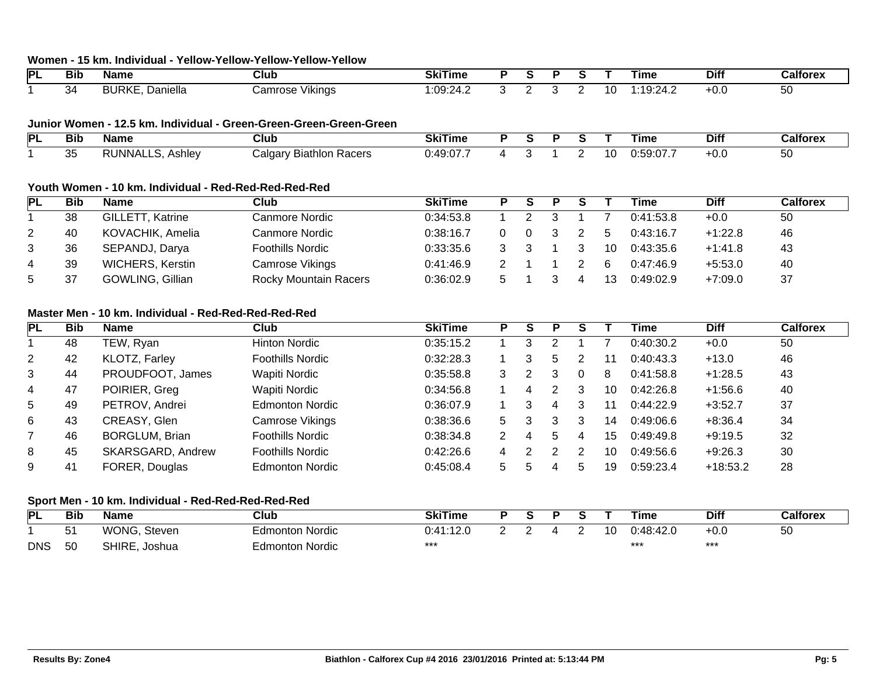### **Women - 15 km. Individual - Yellow-Yellow-Yellow-Yellow-Yellow**

| PL | <b>Bib</b> | <b>Name</b>                                      | Club              | SkiTime              |  |  |     | ıme                        | <b>Diff</b> | лн |
|----|------------|--------------------------------------------------|-------------------|----------------------|--|--|-----|----------------------------|-------------|----|
|    | 54         | זו ר<br>3URK)<br>10n<br>าเella<br>$\overline{ }$ | Vikinas<br>Camros | ററ<br>٠4<br>.00.27.2 |  |  | 1 r | 1. .<br>, ,<br>.<br>$\sim$ | ט-          | ას |

#### **Junior Women - 12.5 km. Individual - Green-Green-Green-Green-Green**

| Þı | --<br>Bıt | Name                  | Club                                                        | ----<br>SkiTime             |  |  |     | ⊺ıme                   | <b>Diff</b> | Calforex |
|----|-----------|-----------------------|-------------------------------------------------------------|-----------------------------|--|--|-----|------------------------|-------------|----------|
|    | ັບ        | INNA.<br>וכ<br>Ashlev | <b>Biathlon</b><br>∠alɑa<br>, <i>חמי</i><br>ır۱<br>1 QUEI 3 | $.49 \cdot 0.7$<br>7. V Z Z |  |  | 11. | $\cdots$ $\sim$<br>. . | . v. v      | οU       |

### **Youth Women - 10 km. Individual - Red-Red-Red-Red-Red**

| PL | <b>Bib</b> | <b>Name</b>             | Club                         | <b>SkiTime</b> |  |  |    | Time      | <b>Diff</b> | Calforex |
|----|------------|-------------------------|------------------------------|----------------|--|--|----|-----------|-------------|----------|
|    | 38         | GILLETT, Katrine        | Canmore Nordic               | 0:34:53.8      |  |  |    | 0:41:53.8 | $+0.0$      | 50       |
| 2  | 40         | KOVACHIK, Amelia        | Canmore Nordic               | 0:38:16.7      |  |  |    | 0:43:16.7 | $+1:22.8$   | 46       |
| 3  | 36         | SEPANDJ, Darya          | <b>Foothills Nordic</b>      | 0.33.35.6      |  |  | 10 | 0:43:35.6 | $+1:41.8$   | 43       |
| 4  | 39         | <b>WICHERS, Kerstin</b> | Camrose Vikings              | 0.41.46.9      |  |  | 6  | 0:47:46.9 | $+5:53.0$   | 40       |
| 5  | 37         | GOWLING, Gillian        | <b>Rocky Mountain Racers</b> | 0:36:02.9      |  |  | 13 | 0:49:02.9 | $+7:09.0$   | 37       |

## **Master Men - 10 km. Individual - Red-Red-Red-Red-Red**

| <b>PL</b>      | <b>Bib</b> | <b>Name</b>           | Club                    | <b>SkiTime</b> | Р  | S | Р |   |    | Time      | <b>Diff</b> | <b>Calforex</b> |
|----------------|------------|-----------------------|-------------------------|----------------|----|---|---|---|----|-----------|-------------|-----------------|
|                | 48         | TEW, Ryan             | <b>Hinton Nordic</b>    | 0:35:15.2      |    | 3 |   |   |    | 0:40:30.2 | $+0.0$      | 50              |
| $\overline{2}$ | 42         | KLOTZ, Farley         | <b>Foothills Nordic</b> | 0:32:28.3      |    | 3 | 5 |   |    | 0:40:43.3 | $+13.0$     | 46              |
| 3              | 44         | PROUDFOOT, James      | Wapiti Nordic           | 0.35:58.8      | 3  | 2 |   |   | 8  | 0:41:58.8 | $+1:28.5$   | 43              |
| 4              | 47         | POIRIER, Greg         | Wapiti Nordic           | 0:34:56.8      |    |   | 2 | 3 | 10 | 0:42:26.8 | $+1:56.6$   | 40              |
| 5              | 49         | PETROV, Andrei        | <b>Edmonton Nordic</b>  | 0:36:07.9      |    | 3 | 4 | 3 | 11 | 0:44:22.9 | $+3:52.7$   | 37              |
| 6              | 43         | CREASY, Glen          | Camrose Vikings         | 0:38:36.6      | 5. | 3 | 3 | 3 | 14 | 0:49:06.6 | $+8:36.4$   | 34              |
|                | 46         | <b>BORGLUM, Brian</b> | <b>Foothills Nordic</b> | 0:38:34.8      |    |   |   |   | 15 | 0:49:49.8 | $+9:19.5$   | 32              |
| 8              | 45         | SKARSGARD, Andrew     | <b>Foothills Nordic</b> | 0.42:26.6      | 4  |   | ົ |   | 10 | 0:49:56.6 | $+9:26.3$   | 30              |
| 9              | 41         | FORER, Douglas        | <b>Edmonton Nordic</b>  | 0:45:08.4      | 5. |   |   |   | 19 | 0:59:23.4 | $+18:53.2$  | 28              |

### **Sport Men - 10 km. Individual - Red-Red-Red-Red-Red**

| PL         | Bib      | <b>Name</b>            | Club            | <b>SkiTime</b>  |  |  |    | Time                  | <b>Diff</b>  | Calforex |
|------------|----------|------------------------|-----------------|-----------------|--|--|----|-----------------------|--------------|----------|
|            | - 1<br>ີ | WONG.<br>Steven        | Edmonton Nordic | 7. <i>A A</i> . |  |  | 10 | 0.18.<br>$\mathbf{H}$ | <b>0.0</b> ء | 50       |
| <b>DNS</b> | 50       | <b>SHIRE</b><br>Joshua | Edmonton Nordic | ***             |  |  |    | $***$                 | ***          |          |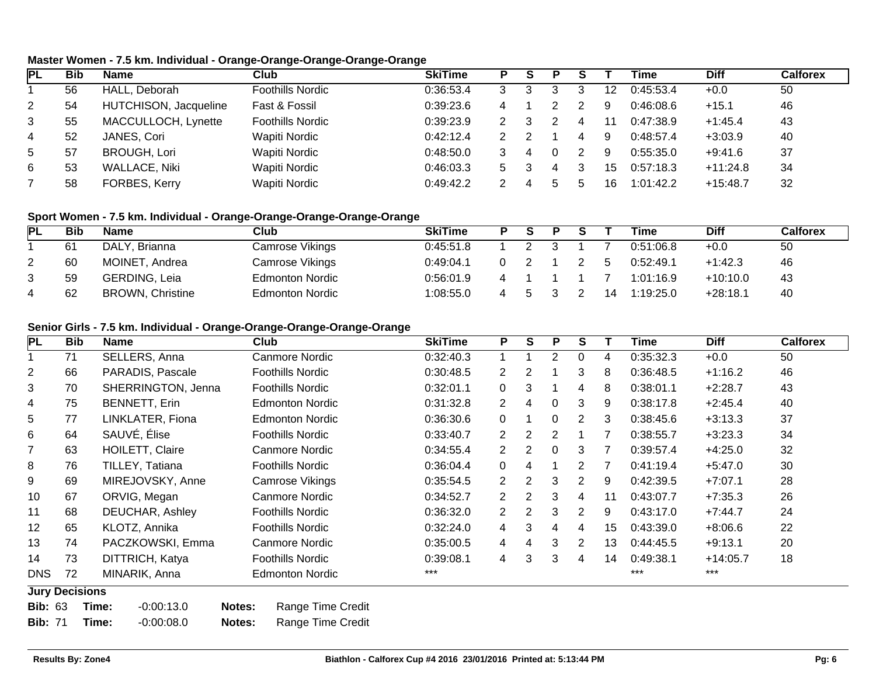## **Master Women - 7.5 km. Individual - Orange-Orange-Orange-Orange-Orange**

| <b>PL</b>      | Bib | <b>Name</b>           | Club                    | <b>SkiTime</b> |  |   |    | Time      | Diff       | <b>Calforex</b> |
|----------------|-----|-----------------------|-------------------------|----------------|--|---|----|-----------|------------|-----------------|
|                | 56  | HALL, Deborah         | <b>Foothills Nordic</b> | 0:36:53.4      |  |   | 12 | 0:45:53.4 | $+0.0$     | 50              |
| $\overline{2}$ | 54  | HUTCHISON, Jacqueline | Fast & Fossil           | 0.39.23.6      |  |   | 9  | 0:46:08.6 | $+15.1$    | 46              |
| 3              | 55  | MACCULLOCH, Lynette   | <b>Foothills Nordic</b> | 0:39:23.9      |  |   | 11 | 0:47:38.9 | $+1:45.4$  | 43              |
| 4              | 52  | JANES, Cori           | Wapiti Nordic           | 0:42:12.4      |  |   | 9  | 0:48:57.4 | $+3:03.9$  | 40              |
| $5^{\circ}$    | 57  | <b>BROUGH, Lori</b>   | Wapiti Nordic           | 0.48:50.0      |  |   | 9  | 0:55:35.0 | $+9:41.6$  | 37              |
| 6              | 53  | <b>WALLACE, Niki</b>  | Wapiti Nordic           | 0:46:03.3      |  | 4 | 15 | 0:57:18.3 | $+11:24.8$ | 34              |
|                | 58  | FORBES, Kerry         | Wapiti Nordic           | 0:49:42.2      |  |   | 16 | 1:01:42.2 | $+15:48.7$ | 32              |

### **Sport Women - 7.5 km. Individual - Orange-Orange-Orange-Orange-Orange**

| <b>PL</b> | Bib | <b>Name</b>             | Club                   | <b>SkiTime</b> | D | Ð |    | Time      | <b>Diff</b> | <b>Calforex</b> |
|-----------|-----|-------------------------|------------------------|----------------|---|---|----|-----------|-------------|-----------------|
|           | 61  | DALY, Brianna           | Camrose Vikings        | 0.45:51.8      |   |   |    | 0:51:06.8 | $+0.0$      | 50              |
|           | 60  | MOINET, Andrea          | Camrose Vikings        | 0.49:04.1      |   |   |    | 0:52:49.1 | $+1:42.3$   | 46              |
|           | 59  | GERDING, Leia           | <b>Edmonton Nordic</b> | 0.56:01.9      |   |   |    | 1:01:16.9 | $+10:10.0$  | 43              |
|           | 62  | <b>BROWN, Christine</b> | <b>Edmonton Nordic</b> | 1:08:55.0      |   |   | 14 | 1:19:25.0 | $+28:18.1$  | 40              |

### **Senior Girls - 7.5 km. Individual - Orange-Orange-Orange-Orange-Orange**

| PL             | <b>Bib</b>            | <b>Name</b>            | Club                        | <b>SkiTime</b> | P                     | S              | P              | S              |    | Time      | <b>Diff</b> | <b>Calforex</b> |
|----------------|-----------------------|------------------------|-----------------------------|----------------|-----------------------|----------------|----------------|----------------|----|-----------|-------------|-----------------|
|                | 71                    | SELLERS, Anna          | Canmore Nordic              | 0:32:40.3      |                       |                | 2              |                | 4  | 0:35:32.3 | $+0.0$      | 50              |
| $\overline{2}$ | 66                    | PARADIS, Pascale       | <b>Foothills Nordic</b>     | 0:30:48.5      | $\mathbf{2}^{\prime}$ | 2              |                | 3              | 8  | 0:36:48.5 | $+1:16.2$   | 46              |
| 3              | 70                    | SHERRINGTON, Jenna     | <b>Foothills Nordic</b>     | 0:32:01.1      | $\Omega$              | 3              |                | 4              | 8  | 0:38:01.1 | $+2:28.7$   | 43              |
| 4              | 75                    | <b>BENNETT, Erin</b>   | <b>Edmonton Nordic</b>      | 0:31:32.8      | $\mathbf{2}^{\prime}$ | 4              | 0              | 3              | 9  | 0:38:17.8 | $+2:45.4$   | 40              |
| 5              | 77                    | LINKLATER, Fiona       | <b>Edmonton Nordic</b>      | 0:36:30.6      | $\Omega$              |                | 0              | $\overline{2}$ | 3  | 0:38:45.6 | $+3:13.3$   | 37              |
| 6              | 64                    | SAUVÉ, Élise           | <b>Foothills Nordic</b>     | 0:33:40.7      | $\overline{2}$        | $\overline{2}$ | $\overline{2}$ |                |    | 0:38:55.7 | $+3:23.3$   | 34              |
| 7              | 63                    | <b>HOILETT, Claire</b> | Canmore Nordic              | 0:34:55.4      | $\overline{2}$        | 2              | $\Omega$       | 3              |    | 0:39:57.4 | $+4:25.0$   | 32              |
| 8              | 76                    | TILLEY, Tatiana        | <b>Foothills Nordic</b>     | 0:36:04.4      | $\Omega$              | 4              |                | 2              |    | 0:41:19.4 | $+5:47.0$   | 30              |
| 9              | 69                    | MIREJOVSKY, Anne       | Camrose Vikings             | 0:35:54.5      | $\overline{2}$        | 2              | 3              | 2              | 9  | 0:42:39.5 | $+7:07.1$   | 28              |
| 10             | 67                    | ORVIG, Megan           | Canmore Nordic              | 0:34:52.7      | 2                     | 2              | 3              | 4              | 11 | 0:43:07.7 | $+7:35.3$   | 26              |
| 11             | 68                    | DEUCHAR, Ashley        | <b>Foothills Nordic</b>     | 0:36:32.0      | $\overline{2}$        | 2              | 3              | 2              | 9  | 0:43:17.0 | $+7:44.7$   | 24              |
| 12             | 65                    | KLOTZ, Annika          | <b>Foothills Nordic</b>     | 0:32:24.0      | $\overline{4}$        | 3              | 4              | 4              | 15 | 0:43:39.0 | $+8:06.6$   | 22              |
| 13             | 74                    | PACZKOWSKI, Emma       | Canmore Nordic              | 0:35:00.5      | 4                     | 4              | 3              | 2              | 13 | 0:44:45.5 | $+9:13.1$   | 20              |
| 14             | 73                    | DITTRICH, Katya        | <b>Foothills Nordic</b>     | 0:39:08.1      | 4                     | 3              | 3              | 4              | 14 | 0:49:38.1 | $+14:05.7$  | 18              |
| <b>DNS</b>     | 72                    | MINARIK, Anna          | <b>Edmonton Nordic</b>      | $***$          |                       |                |                |                |    | $***$     | $***$       |                 |
|                | <b>Jury Decisions</b> |                        |                             |                |                       |                |                |                |    |           |             |                 |
| <b>Bib: 63</b> |                       | $-0:00:13.0$<br>Time:  | Range Time Credit<br>Notes: |                |                       |                |                |                |    |           |             |                 |

**Bib:** 71 **Time:** -0:00:08.0 **Notes:** Range Time Credit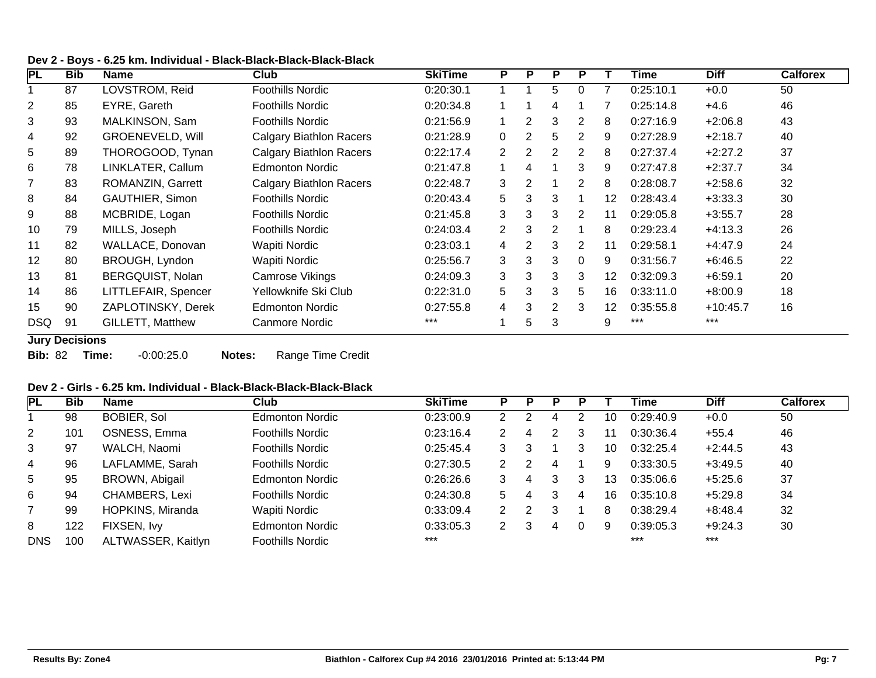| Dev 2 - Boys - 6.25 km. Individual - Black-Black-Black-Black-Black |  |  |  |
|--------------------------------------------------------------------|--|--|--|
|--------------------------------------------------------------------|--|--|--|

| PL             | <b>Bib</b> | <b>Name</b>             | Club                           | <b>SkiTime</b> | P              | P              | P              | P              |    | Time      | <b>Diff</b> | <b>Calforex</b> |
|----------------|------------|-------------------------|--------------------------------|----------------|----------------|----------------|----------------|----------------|----|-----------|-------------|-----------------|
|                | 87         | LOVSTROM, Reid          | Foothills Nordic               | 0:20:30.1      |                |                | 5              | 0              |    | 0:25:10.1 | $+0.0$      | 50              |
| 2              | 85         | EYRE, Gareth            | Foothills Nordic               | 0:20:34.8      |                |                | 4              |                |    | 0:25:14.8 | $+4.6$      | 46              |
| 3              | 93         | MALKINSON, Sam          | Foothills Nordic               | 0:21:56.9      |                | 2              | 3              | 2              | 8  | 0:27:16.9 | $+2:06.8$   | 43              |
| 4              | 92         | <b>GROENEVELD, Will</b> | <b>Calgary Biathlon Racers</b> | 0:21:28.9      | $\Omega$       | $\overline{2}$ | 5              | $\overline{2}$ | 9  | 0:27:28.9 | $+2:18.7$   | 40              |
| 5              | 89         | THOROGOOD, Tynan        | <b>Calgary Biathlon Racers</b> | 0:22:17.4      | $\overline{2}$ | $\overline{2}$ | 2              | 2              | 8  | 0:27:37.4 | $+2:27.2$   | 37              |
| 6              | 78         | LINKLATER, Callum       | <b>Edmonton Nordic</b>         | 0:21:47.8      |                | 4              |                | 3              | 9  | 0:27:47.8 | $+2:37.7$   | 34              |
| $\overline{7}$ | 83         | ROMANZIN, Garrett       | <b>Calgary Biathlon Racers</b> | 0:22:48.7      | 3              | 2              |                | $\overline{2}$ | 8  | 0:28:08.7 | $+2:58.6$   | 32              |
| 8              | 84         | <b>GAUTHIER, Simon</b>  | <b>Foothills Nordic</b>        | 0:20:43.4      | 5              | 3              | 3              |                | 12 | 0:28:43.4 | $+3:33.3$   | 30              |
| 9              | 88         | MCBRIDE, Logan          | Foothills Nordic               | 0:21:45.8      | 3              | 3              | 3              | 2              | 11 | 0:29:05.8 | $+3:55.7$   | 28              |
| 10             | 79         | MILLS, Joseph           | Foothills Nordic               | 0:24:03.4      | 2              | 3              | 2              |                | 8  | 0:29:23.4 | $+4:13.3$   | 26              |
| 11             | 82         | WALLACE, Donovan        | <b>Wapiti Nordic</b>           | 0:23:03.1      | 4              | $\overline{2}$ | 3              | 2              | 11 | 0:29:58.1 | $+4:47.9$   | 24              |
| 12             | 80         | BROUGH, Lyndon          | Wapiti Nordic                  | 0:25:56.7      | 3              | 3              | 3              | $\Omega$       | 9  | 0:31:56.7 | $+6:46.5$   | 22              |
| 13             | 81         | BERGQUIST, Nolan        | Camrose Vikings                | 0:24:09.3      | 3              | 3              | 3              | 3              | 12 | 0:32:09.3 | $+6:59.1$   | 20              |
| 14             | 86         | LITTLEFAIR, Spencer     | Yellowknife Ski Club           | 0:22:31.0      | 5              | 3              | 3              | 5              | 16 | 0:33:11.0 | $+8:00.9$   | 18              |
| 15             | 90         | ZAPLOTINSKY, Derek      | <b>Edmonton Nordic</b>         | 0:27:55.8      | 4              | 3              | $\overline{2}$ | 3              | 12 | 0:35:55.8 | $+10:45.7$  | 16              |
| <b>DSQ</b>     | 91         | <b>GILLETT, Matthew</b> | Canmore Nordic                 | $***$          |                | 5              | 3              |                | 9  | ***       | $***$       |                 |

**Jury Decisions**

**Bib:** 82 **Time:** -0:00:25.0 **Notes:** Range Time Credit

### **Dev 2 - Girls - 6.25 km. Individual - Black-Black-Black-Black-Black**

| <b>PL</b>       | <b>Bib</b> | <b>Name</b>        | Club                    | <b>SkiTime</b> |                      |   |   |   |    | Time      | <b>Diff</b> | <b>Calforex</b> |
|-----------------|------------|--------------------|-------------------------|----------------|----------------------|---|---|---|----|-----------|-------------|-----------------|
|                 | 98         | BOBIER, Sol        | <b>Edmonton Nordic</b>  | 0:23:00.9      |                      |   | 4 |   | 10 | 0:29:40.9 | $+0.0$      | 50              |
| $\overline{2}$  | 101        | OSNESS, Emma       | <b>Foothills Nordic</b> | 0:23:16.4      |                      |   |   |   | 11 | 0:30:36.4 | $+55.4$     | 46              |
| 3               | 97         | WALCH, Naomi       | <b>Foothills Nordic</b> | 0:25:45.4      |                      | 3 |   | 3 | 10 | 0:32:25.4 | $+2:44.5$   | 43              |
| 4               | 96         | LAFLAMME, Sarah    | <b>Foothills Nordic</b> | 0:27:30.5      |                      |   | 4 |   | 9  | 0:33:30.5 | $+3:49.5$   | 40              |
| $5\overline{)}$ | 95         | BROWN, Abigail     | <b>Edmonton Nordic</b>  | 0:26:26.6      |                      |   |   | 3 | 13 | 0:35:06.6 | $+5:25.6$   | 37              |
| 6               | 94         | CHAMBERS, Lexi     | <b>Foothills Nordic</b> | 0:24:30.8      | 5.                   |   |   | 4 | 16 | 0:35:10.8 | $+5:29.8$   | 34              |
| 7               | 99         | HOPKINS, Miranda   | Wapiti Nordic           | 0:33:09.4      | $\mathbf{2}^{\circ}$ |   | 3 |   | 8  | 0:38:29.4 | $+8:48.4$   | 32              |
| 8               | 122        | FIXSEN, Ivy        | <b>Edmonton Nordic</b>  | 0:33:05.3      |                      | З | 4 |   | 9  | 0:39:05.3 | $+9:24.3$   | 30              |
| <b>DNS</b>      | 100        | ALTWASSER, Kaitlyn | <b>Foothills Nordic</b> | $***$          |                      |   |   |   |    | $***$     | $***$       |                 |